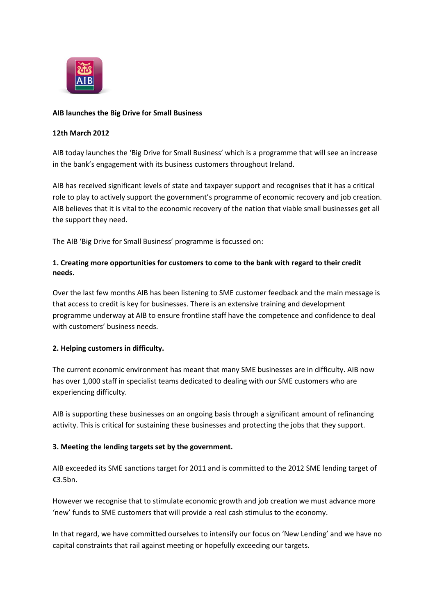

### **AIB launches the Big Drive for Small Business**

### **12th March 2012**

AIB today launches the 'Big Drive for Small Business' which is a programme that will see an increase in the bank's engagement with its business customers throughout Ireland.

AIB has received significant levels of state and taxpayer support and recognises that it has a critical role to play to actively support the government's programme of economic recovery and job creation. AIB believes that it is vital to the economic recovery of the nation that viable small businesses get all the support they need.

The AIB 'Big Drive for Small Business' programme is focussed on:

# **1. Creating more opportunities for customers to come to the bank with regard to their credit needs.**

Over the last few months AIB has been listening to SME customer feedback and the main message is that access to credit is key for businesses. There is an extensive training and development programme underway at AIB to ensure frontline staff have the competence and confidence to deal with customers' business needs.

## **2. Helping customers in difficulty.**

The current economic environment has meant that many SME businesses are in difficulty. AIB now has over 1,000 staff in specialist teams dedicated to dealing with our SME customers who are experiencing difficulty.

AIB is supporting these businesses on an ongoing basis through a significant amount of refinancing activity. This is critical for sustaining these businesses and protecting the jobs that they support.

## **3. Meeting the lending targets set by the government.**

AIB exceeded its SME sanctions target for 2011 and is committed to the 2012 SME lending target of €3.5bn.

However we recognise that to stimulate economic growth and job creation we must advance more 'new' funds to SME customers that will provide a real cash stimulus to the economy.

In that regard, we have committed ourselves to intensify our focus on 'New Lending' and we have no capital constraints that rail against meeting or hopefully exceeding our targets.